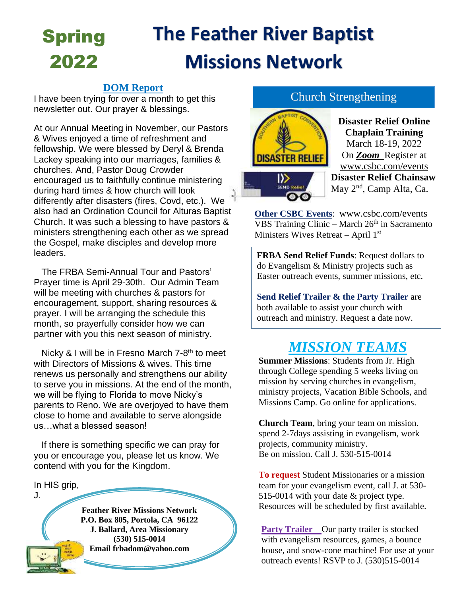## **The Feather River Baptist Missions Network** Spring 2022

#### **DOM Report**

I have been trying for over a month to get this newsletter out. Our prayer & blessings.

At our Annual Meeting in November, our Pastors & Wives enjoyed a time of refreshment and fellowship. We were blessed by Deryl & Brenda Lackey speaking into our marriages, families & churches. And, Pastor Doug Crowder encouraged us to faithfully continue ministering during hard times & how church will look differently after disasters (fires, Covd, etc.). We also had an Ordination Council for Alturas Baptist Church. It was such a blessing to have pastors & ministers strengthening each other as we spread the Gospel, make disciples and develop more leaders.

 The FRBA Semi-Annual Tour and Pastors' Prayer time is April 29-30th. Our Admin Team will be meeting with churches & pastors for encouragement, support, sharing resources & prayer. I will be arranging the schedule this month, so prayerfully consider how we can partner with you this next season of ministry.

Nicky & I will be in Fresno March 7-8<sup>th</sup> to meet with Directors of Missions & wives. This time renews us personally and strengthens our ability to serve you in missions. At the end of the month, we will be flying to Florida to move Nicky's parents to Reno. We are overjoyed to have them close to home and available to serve alongside us what a blessed season!

 If there is something specific we can pray for you or encourage you, please let us know. We contend with you for the Kingdom.

In HIS grip,

J.

**Feather River Missions Network P.O. Box 805, Portola, CA 96122 J. Ballard, Area Missionary (530) 515-0014 Email [frbadom@yahoo.com](mailto:frbadom@yahoo.com)**

#### Church Strengthening



**Disaster Relief Online Chaplain Training** March 18-19, 2022 On *Zoom* Register at [www.csbc.com/events](http://www.csbc.com/events) **Disaster Relief Chainsaw** May 2<sup>nd</sup>, Camp Alta, Ca.

**Other CSBC Events**: [www.csbc.com/events](http://www.csbc.com/events)  $\overline{VBS}$  Training Clinic – March 26<sup>th</sup> in Sacramento Ministers Wives Retreat – April 1<sup>st</sup>

**FRBA Send Relief Funds**: Request dollars to do Evangelism & Ministry projects such as Easter outreach events, summer missions, etc.

**Send Relief Trailer & the Party Trailer** are both available to assist your church with outreach and ministry. Request a date now.

# *MISSION TEAMS*

**Summer Missions**: Students from Jr. High through College spending 5 weeks living on mission by serving churches in evangelism, ministry projects, Vacation Bible Schools, and Missions Camp. Go online for applications.

**Church Team**, bring your team on mission. spend 2-7days assisting in evangelism, work projects, community ministry. Be on mission. Call J. 530-515-0014

**To request** Student Missionaries or a mission team for your evangelism event, call J. at 530- 515-0014 with your date & project type. Resources will be scheduled by first available.

**Party Trailer** Our party trailer is stocked with evangelism resources, games, a bounce house, and snow-cone machine! For use at your outreach events! RSVP to J. (530)515-0014